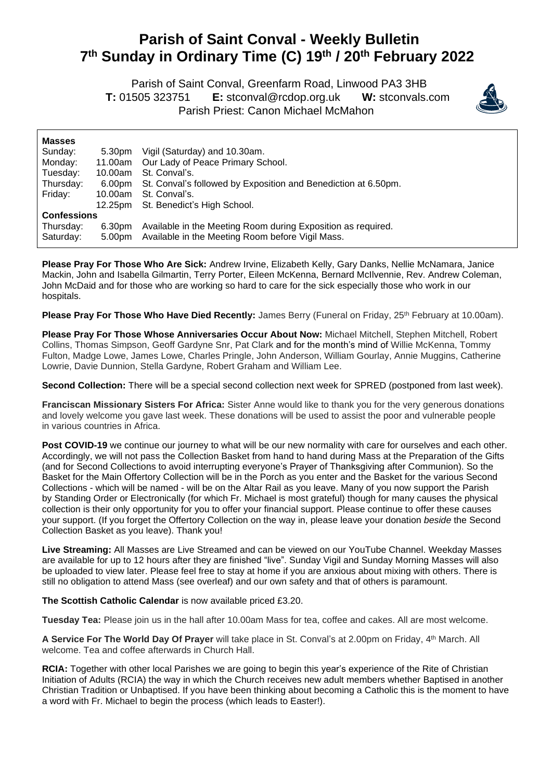## **Parish of Saint Conval - Weekly Bulletin 7 th Sunday in Ordinary Time (C) 19 th / 20th February 2022**

 Parish of Saint Conval, Greenfarm Road, Linwood PA3 3HB **T:** 01505 323751 **E:** [stconval@rcdop.org.uk](mailto:stconval@rcdop.org.uk) **W:** stconvals.com Parish Priest: Canon Michael McMahon



| <b>Masses</b>      |         |                                                                |
|--------------------|---------|----------------------------------------------------------------|
| Sunday:            | 5.30pm  | Vigil (Saturday) and 10.30am.                                  |
| Monday:            | 11.00am | Our Lady of Peace Primary School.                              |
| Tuesday:           | 10.00am | St. Conval's.                                                  |
| Thursday:          | 6.00pm  | St. Conval's followed by Exposition and Benediction at 6.50pm. |
| Friday:            | 10.00am | St. Conval's.                                                  |
|                    | 12.25pm | St. Benedict's High School.                                    |
| <b>Confessions</b> |         |                                                                |
| Thursday:          | 6.30pm  | Available in the Meeting Room during Exposition as required.   |
| Saturday:          | 5.00pm  | Available in the Meeting Room before Vigil Mass.               |

**Please Pray For Those Who Are Sick:** Andrew Irvine, Elizabeth Kelly, Gary Danks, Nellie McNamara, Janice Mackin, John and Isabella Gilmartin, Terry Porter, Eileen McKenna, Bernard McIlvennie, Rev. Andrew Coleman, John McDaid and for those who are working so hard to care for the sick especially those who work in our hospitals.

Please Pray For Those Who Have Died Recently: James Berry (Funeral on Friday, 25<sup>th</sup> February at 10.00am).

**Please Pray For Those Whose Anniversaries Occur About Now:** Michael Mitchell, Stephen Mitchell, Robert Collins, Thomas Simpson, Geoff Gardyne Snr, Pat Clark and for the month's mind of Willie McKenna, Tommy Fulton, Madge Lowe, James Lowe, Charles Pringle, John Anderson, William Gourlay, Annie Muggins, Catherine Lowrie, Davie Dunnion, Stella Gardyne, Robert Graham and William Lee.

**Second Collection:** There will be a special second collection next week for SPRED (postponed from last week).

**Franciscan Missionary Sisters For Africa:** Sister Anne would like to thank you for the very generous donations and lovely welcome you gave last week. These donations will be used to assist the poor and vulnerable people in various countries in Africa.

**Post COVID-19** we continue our journey to what will be our new normality with care for ourselves and each other. Accordingly, we will not pass the Collection Basket from hand to hand during Mass at the Preparation of the Gifts (and for Second Collections to avoid interrupting everyone's Prayer of Thanksgiving after Communion). So the Basket for the Main Offertory Collection will be in the Porch as you enter and the Basket for the various Second Collections - which will be named - will be on the Altar Rail as you leave. Many of you now support the Parish by Standing Order or Electronically (for which Fr. Michael is most grateful) though for many causes the physical collection is their only opportunity for you to offer your financial support. Please continue to offer these causes your support. (If you forget the Offertory Collection on the way in, please leave your donation *beside* the Second Collection Basket as you leave). Thank you!

**Live Streaming:** All Masses are Live Streamed and can be viewed on our YouTube Channel. Weekday Masses are available for up to 12 hours after they are finished "live". Sunday Vigil and Sunday Morning Masses will also be uploaded to view later. Please feel free to stay at home if you are anxious about mixing with others. There is still no obligation to attend Mass (see overleaf) and our own safety and that of others is paramount.

**The Scottish Catholic Calendar** is now available priced £3.20.

**Tuesday Tea:** Please join us in the hall after 10.00am Mass for tea, coffee and cakes. All are most welcome.

**A Service For The World Day Of Prayer** will take place in St. Conval's at 2.00pm on Friday, 4 th March. All welcome. Tea and coffee afterwards in Church Hall.

**RCIA:** Together with other local Parishes we are going to begin this year's experience of the Rite of Christian Initiation of Adults (RCIA) the way in which the Church receives new adult members whether Baptised in another Christian Tradition or Unbaptised. If you have been thinking about becoming a Catholic this is the moment to have a word with Fr. Michael to begin the process (which leads to Easter!).